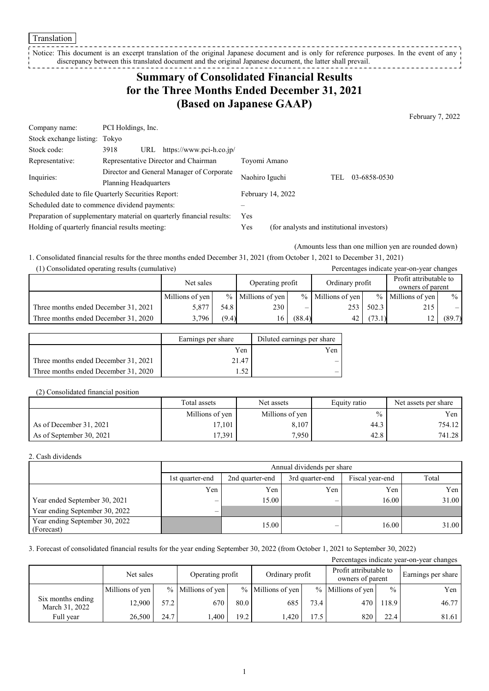Translation

Notice: This document is an excerpt translation of the original Japanese document and is only for reference purposes. In the event of any discrepancy between this translated document and the original Japanese document, the latter shall prevail.

# **Summary of Consolidated Financial Results for the Three Months Ended December 31, 2021 (Based on Japanese GAAP)**

February 7, 2022

| Company name:                                   | PCI Holdings, Inc.                                                    |                   |                                            |
|-------------------------------------------------|-----------------------------------------------------------------------|-------------------|--------------------------------------------|
| Stock exchange listing:                         | Tokvo                                                                 |                   |                                            |
| Stock code:                                     | https://www.pci-h.co.jp/<br>3918<br>URL                               |                   |                                            |
| Representative:                                 | Representative Director and Chairman                                  | Toyomi Amano      |                                            |
| Inquiries:                                      | Director and General Manager of Corporate                             | Naohiro Iguchi    | 03-6858-0530<br>TEL                        |
|                                                 | Planning Headquarters                                                 |                   |                                            |
|                                                 | Scheduled date to file Quarterly Securities Report:                   | February 14, 2022 |                                            |
|                                                 | Scheduled date to commence dividend payments:                         |                   |                                            |
|                                                 | Preparation of supplementary material on quarterly financial results: | Yes.              |                                            |
| Holding of quarterly financial results meeting: |                                                                       | Yes               | (for analysts and institutional investors) |

(Amounts less than one million yen are rounded down)

1. Consolidated financial results for the three months ended December 31, 2021 (from October 1, 2021 to December 31, 2021) (1) Consolidated operating results (cumulative) Percentages indicate year-on-year changes

| $\left(1\right)$ Consolidated operating results (cultidiative)<br>I Creentages mureate year-on-year enanges |                 |       |                     |        |                     |        |                                            |        |
|-------------------------------------------------------------------------------------------------------------|-----------------|-------|---------------------|--------|---------------------|--------|--------------------------------------------|--------|
|                                                                                                             | Net sales       |       | Operating profit    |        | Ordinary profit     |        | Profit attributable to<br>owners of parent |        |
|                                                                                                             | Millions of yen |       | $%$ Millions of yen |        | $%$ Millions of yen |        | $%$ Millions of yen                        | $\%$   |
| Three months ended December 31, 2021                                                                        | 5.877           | 54.8  | 230                 |        | 253 l               | 502.3  | 215                                        |        |
| Three months ended December 31, 2020                                                                        | 3,796           | (9.4) | 16                  | (88.4) | 42                  | (73.1) |                                            | (89.7) |

|                                      | Earnings per share | Diluted earnings per share |
|--------------------------------------|--------------------|----------------------------|
|                                      | Yen                | Yen                        |
| Three months ended December 31, 2021 | 21.47              |                            |
| Three months ended December 31, 2020 | 52                 |                            |

### (2) Consolidated financial position

|                          | Total assets    | Net assets      | Equity ratio | Net assets per share |
|--------------------------|-----------------|-----------------|--------------|----------------------|
|                          | Millions of yen | Millions of yen | $\%$         | Yen                  |
| As of December 31, 2021  | 17.101          | 8,107           | 44.3         | 754.12               |
| As of September 30, 2021 | 17,391          | 7,950           | 42.8         | 741.28               |

#### 2. Cash dividends

|                                              | Annual dividends per share |                 |       |       |       |  |  |
|----------------------------------------------|----------------------------|-----------------|-------|-------|-------|--|--|
|                                              | 1st quarter-end            | Fiscal year-end | Total |       |       |  |  |
|                                              | Yen                        | Yen             | Yen   | Yen   | Yen   |  |  |
| Year ended September 30, 2021                | $\overline{\phantom{m}}$   | 15.00           | _     | 16.00 | 31.00 |  |  |
| Year ending September 30, 2022               | $\overline{\phantom{0}}$   |                 |       |       |       |  |  |
| Year ending September 30, 2022<br>(Forecast) |                            | 15.00           |       | 16.00 | 31.00 |  |  |

### 3. Forecast of consolidated financial results for the year ending September 30, 2022 (from October 1, 2021 to September 30, 2022)

| Percentages indicate year-on-year changes |                 |      |                                     |      |                                            |      |                     |               |       |
|-------------------------------------------|-----------------|------|-------------------------------------|------|--------------------------------------------|------|---------------------|---------------|-------|
|                                           | Net sales       |      | Ordinary profit<br>Operating profit |      | Profit attributable to<br>owners of parent |      | Earnings per share  |               |       |
|                                           | Millions of yen |      | % Millions of yen                   |      | $%$ Millions of yen                        |      | $%$ Millions of yen | $\frac{0}{0}$ | Yen   |
| Six months ending<br>March 31, 2022       | 12.900          | 57.2 | 670                                 | 80.0 | 685                                        | 73.4 | 470                 | 118.9         | 46.77 |
| Full year                                 | 26.500          | 24.7 | .400                                | 19.2 | .420                                       | 17.5 | 820                 | 22.4          | 81.61 |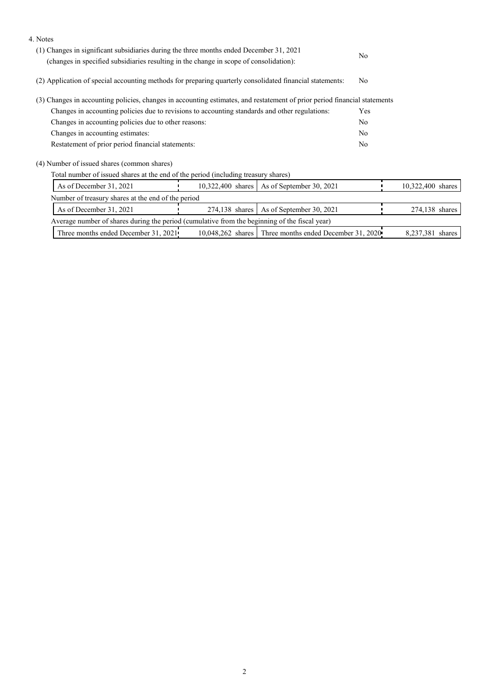| 4. Notes                                                                                                                                                                          |                |                                                        |                   |  |  |  |
|-----------------------------------------------------------------------------------------------------------------------------------------------------------------------------------|----------------|--------------------------------------------------------|-------------------|--|--|--|
| (1) Changes in significant subsidiaries during the three months ended December 31, 2021<br>(changes in specified subsidiaries resulting in the change in scope of consolidation): | N <sub>o</sub> |                                                        |                   |  |  |  |
| (2) Application of special accounting methods for preparing quarterly consolidated financial statements:                                                                          | No.            |                                                        |                   |  |  |  |
| (3) Changes in accounting policies, changes in accounting estimates, and restatement of prior period financial statements                                                         |                |                                                        |                   |  |  |  |
| Changes in accounting policies due to revisions to accounting standards and other regulations:                                                                                    |                | Yes                                                    |                   |  |  |  |
| Changes in accounting policies due to other reasons:                                                                                                                              |                | No                                                     |                   |  |  |  |
| Changes in accounting estimates:                                                                                                                                                  |                | No.                                                    |                   |  |  |  |
| Restatement of prior period financial statements:                                                                                                                                 |                |                                                        |                   |  |  |  |
| (4) Number of issued shares (common shares)                                                                                                                                       |                |                                                        |                   |  |  |  |
| Total number of issued shares at the end of the period (including treasury shares)                                                                                                |                |                                                        |                   |  |  |  |
| As of December 31, 2021                                                                                                                                                           |                | 10,322,400 shares   As of September 30, 2021           | 10,322,400 shares |  |  |  |
| Number of treasury shares at the end of the period                                                                                                                                |                |                                                        |                   |  |  |  |
| As of December 31, 2021<br>As of September 30, 2021<br>274,138 shares                                                                                                             |                |                                                        | 274,138 shares    |  |  |  |
| Average number of shares during the period (cumulative from the beginning of the fiscal year)                                                                                     |                |                                                        |                   |  |  |  |
| Three months ended December 31, 2021                                                                                                                                              |                | 10,048,262 shares Three months ended December 31, 2020 | 8,237,381 shares  |  |  |  |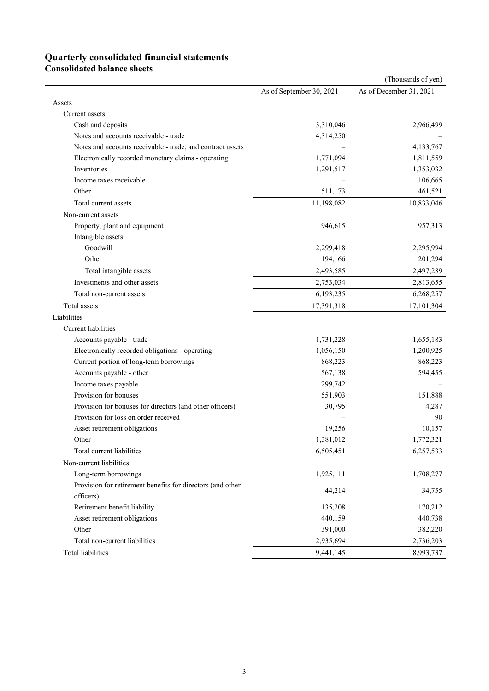## **Quarterly consolidated financial statements**

**Consolidated balance sheets** 

|                                                            |                          | (Thousands of yen)      |
|------------------------------------------------------------|--------------------------|-------------------------|
|                                                            | As of September 30, 2021 | As of December 31, 2021 |
| Assets                                                     |                          |                         |
| Current assets                                             |                          |                         |
| Cash and deposits                                          | 3,310,046                | 2,966,499               |
| Notes and accounts receivable - trade                      | 4,314,250                |                         |
| Notes and accounts receivable - trade, and contract assets |                          | 4,133,767               |
| Electronically recorded monetary claims - operating        | 1,771,094                | 1,811,559               |
| Inventories                                                | 1,291,517                | 1,353,032               |
| Income taxes receivable                                    |                          | 106,665                 |
| Other                                                      | 511,173                  | 461,521                 |
| Total current assets                                       | 11,198,082               | 10,833,046              |
| Non-current assets                                         |                          |                         |
| Property, plant and equipment                              | 946,615                  | 957,313                 |
| Intangible assets                                          |                          |                         |
| Goodwill                                                   | 2,299,418                | 2,295,994               |
| Other                                                      | 194,166                  | 201,294                 |
| Total intangible assets                                    | 2,493,585                | 2,497,289               |
| Investments and other assets                               | 2,753,034                | 2,813,655               |
| Total non-current assets                                   | 6,193,235                | 6,268,257               |
| <b>Total</b> assets                                        | 17,391,318               | 17,101,304              |
| Liabilities                                                |                          |                         |
| Current liabilities                                        |                          |                         |
| Accounts payable - trade                                   | 1,731,228                | 1,655,183               |
| Electronically recorded obligations - operating            | 1,056,150                | 1,200,925               |
| Current portion of long-term borrowings                    | 868,223                  | 868,223                 |
| Accounts payable - other                                   | 567,138                  | 594,455                 |
| Income taxes payable                                       | 299,742                  |                         |
| Provision for bonuses                                      | 551,903                  | 151,888                 |
| Provision for bonuses for directors (and other officers)   | 30,795                   | 4,287                   |
| Provision for loss on order received                       |                          | 90                      |
| Asset retirement obligations                               | 19,256                   | 10,157                  |
| Other                                                      | 1,381,012                | 1,772,321               |
| Total current liabilities                                  | 6,505,451                | 6,257,533               |
| Non-current liabilities                                    |                          |                         |
| Long-term borrowings                                       | 1,925,111                | 1,708,277               |
| Provision for retirement benefits for directors (and other |                          |                         |
| officers)                                                  | 44,214                   | 34,755                  |
| Retirement benefit liability                               | 135,208                  | 170,212                 |
| Asset retirement obligations                               | 440,159                  | 440,738                 |
| Other                                                      | 391,000                  | 382,220                 |
| Total non-current liabilities                              | 2,935,694                | 2,736,203               |
| <b>Total liabilities</b>                                   | 9,441,145                | 8,993,737               |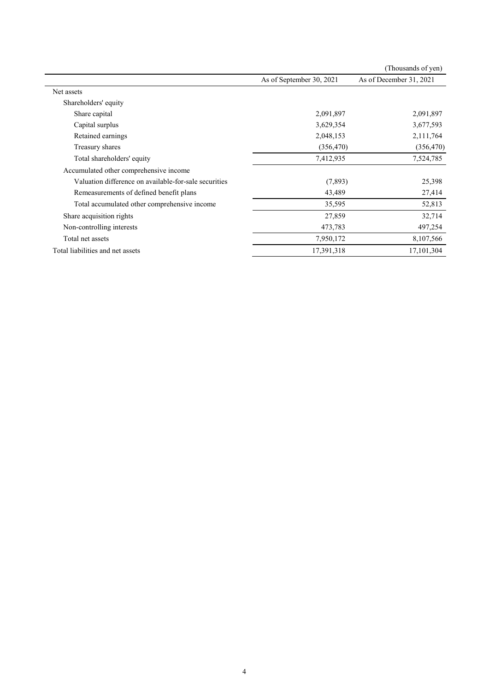|                                                       |                          | (Thousands of yen)      |
|-------------------------------------------------------|--------------------------|-------------------------|
|                                                       | As of September 30, 2021 | As of December 31, 2021 |
| Net assets                                            |                          |                         |
| Shareholders' equity                                  |                          |                         |
| Share capital                                         | 2,091,897                | 2,091,897               |
| Capital surplus                                       | 3,629,354                | 3,677,593               |
| Retained earnings                                     | 2,048,153                | 2,111,764               |
| Treasury shares                                       | (356, 470)               | (356, 470)              |
| Total shareholders' equity                            | 7,412,935                | 7,524,785               |
| Accumulated other comprehensive income                |                          |                         |
| Valuation difference on available-for-sale securities | (7,893)                  | 25,398                  |
| Remeasurements of defined benefit plans               | 43,489                   | 27,414                  |
| Total accumulated other comprehensive income          | 35,595                   | 52,813                  |
| Share acquisition rights                              | 27,859                   | 32,714                  |
| Non-controlling interests                             | 473,783                  | 497,254                 |
| Total net assets                                      | 7,950,172                | 8,107,566               |
| Total liabilities and net assets                      | 17,391,318               | 17, 101, 304            |
|                                                       |                          |                         |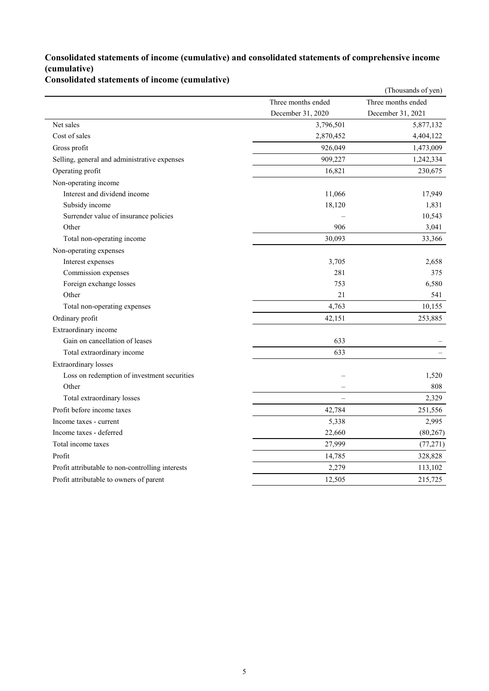### **Consolidated statements of income (cumulative) and consolidated statements of comprehensive income (cumulative)**

### **Consolidated statements of income (cumulative)**

|                                                  |                    | (Thousands of yen) |
|--------------------------------------------------|--------------------|--------------------|
|                                                  | Three months ended | Three months ended |
|                                                  | December 31, 2020  | December 31, 2021  |
| Net sales                                        | 3,796,501          | 5,877,132          |
| Cost of sales                                    | 2,870,452          | 4,404,122          |
| Gross profit                                     | 926,049            | 1,473,009          |
| Selling, general and administrative expenses     | 909,227            | 1,242,334          |
| Operating profit                                 | 16,821             | 230,675            |
| Non-operating income                             |                    |                    |
| Interest and dividend income                     | 11,066             | 17,949             |
| Subsidy income                                   | 18,120             | 1,831              |
| Surrender value of insurance policies            |                    | 10,543             |
| Other                                            | 906                | 3,041              |
| Total non-operating income                       | 30,093             | 33,366             |
| Non-operating expenses                           |                    |                    |
| Interest expenses                                | 3,705              | 2,658              |
| Commission expenses                              | 281                | 375                |
| Foreign exchange losses                          | 753                | 6,580              |
| Other                                            | 21                 | 541                |
| Total non-operating expenses                     | 4,763              | 10,155             |
| Ordinary profit                                  | 42,151             | 253,885            |
| Extraordinary income                             |                    |                    |
| Gain on cancellation of leases                   | 633                |                    |
| Total extraordinary income                       | 633                |                    |
| <b>Extraordinary</b> losses                      |                    |                    |
| Loss on redemption of investment securities      |                    | 1,520              |
| Other                                            |                    | 808                |
| Total extraordinary losses                       |                    | 2,329              |
| Profit before income taxes                       | 42,784             | 251,556            |
| Income taxes - current                           | 5,338              | 2,995              |
| Income taxes - deferred                          | 22,660             | (80, 267)          |
| Total income taxes                               | 27,999             | (77, 271)          |
| Profit                                           | 14,785             | 328,828            |
| Profit attributable to non-controlling interests | 2,279              | 113,102            |
| Profit attributable to owners of parent          | 12,505             | 215,725            |